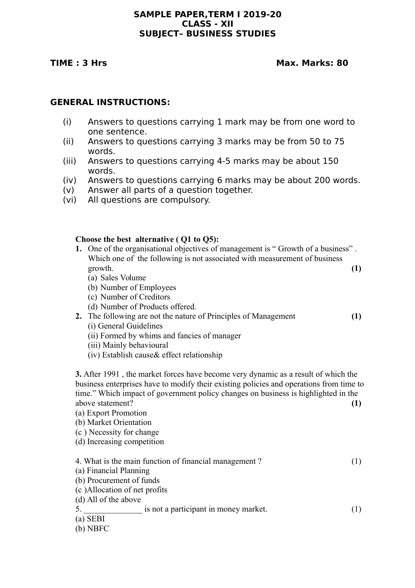## **SAMPLE PAPER,TERM I 2019-20 CLASS - XII SUBJECT– BUSINESS STUDIES**

## **TIME : 3 Hrs Max. Marks: 80**

## **GENERAL INSTRUCTIONS:**

- (i) Answers to questions carrying 1 mark may be from one word to one sentence.
- (ii) Answers to questions carrying 3 marks may be from 50 to 75 words.
- (iii) Answers to questions carrying 4-5 marks may be about 150 words.
- (iv) Answers to questions carrying 6 marks may be about 200 words.
- (v) Answer all parts of a question together.
- (vi) All questions are compulsory.

## **Choose the best alternative ( Q1 to Q5):**

| 1. One of the organisational objectives of management is "Growth of a business" |  |
|---------------------------------------------------------------------------------|--|
| Which one of the following is not associated with measurement of business       |  |
| growth.                                                                         |  |

- (a) Sales Volume
- (b) Number of Employees
- (c) Number of Creditors
- (d) Number of Products offered.
- **2.** The following are not the nature of Principles of Management **(1)** (i) General Guidelines
	- (ii) Formed by whims and fancies of manager
	- (iii) Mainly behavioural
	- (iv) Establish cause& effect relationship

**3.** After 1991 , the market forces have become very dynamic as a result of which the business enterprises have to modify their existing policies and operations from time to time." Which impact of government policy changes on business is highlighted in the above statement? (1)

- (a) Export Promotion
- (b) Market Orientation
- (c ) Necessity for change
- (d) Increasing competition

| 4. What is the main function of financial management? |  |
|-------------------------------------------------------|--|
| (a) Financial Planning                                |  |

- (b) Procurement of funds
- (c )Allocation of net profits
- (d) All of the above
- 5. **a** is not a participant in money market. (1)

(a) SEBI

(b) NBFC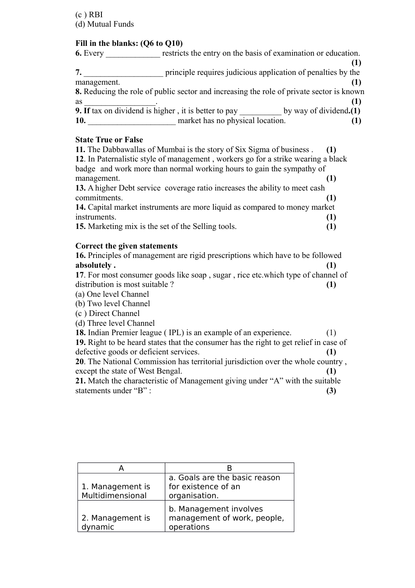# **Fill in the blanks: (Q6 to Q10)**

| 6. Every    | restricts the entry on the basis of examination or education.                            |  |
|-------------|------------------------------------------------------------------------------------------|--|
|             |                                                                                          |  |
|             | principle requires judicious application of penalties by the                             |  |
| management. |                                                                                          |  |
|             | 8. Reducing the role of public sector and increasing the role of private sector is known |  |
| <b>as</b>   |                                                                                          |  |
|             | 9. If tax on dividend is higher, it is better to pay by way of dividend.(1)              |  |
| 10.         | market has no physical location.                                                         |  |
|             |                                                                                          |  |

## **State True or False**

| 11. The Dabbawallas of Mumbai is the story of Six Sigma of business.                  | (1) |  |
|---------------------------------------------------------------------------------------|-----|--|
| 12. In Paternalistic style of management, workers go for a strike wearing a black     |     |  |
| badge and work more than normal working hours to gain the sympathy of                 |     |  |
| management.                                                                           | (1) |  |
| 13. A higher Debt service coverage ratio increases the ability to meet cash           |     |  |
| commitments.                                                                          | (1) |  |
| 14. Capital market instruments are more liquid as compared to money market            |     |  |
| instruments.                                                                          | (1) |  |
| <b>15.</b> Marketing mix is the set of the Selling tools.                             | (1) |  |
|                                                                                       |     |  |
| Correct the given statements                                                          |     |  |
| <b>16.</b> Principles of management are rigid prescriptions which have to be followed |     |  |
| absolutely.                                                                           | (1) |  |
| 17. For most consumer goods like soap, sugar, rice etc. which type of channel of      |     |  |
| distribution is most suitable?                                                        | (1) |  |
| (a) One level Channel                                                                 |     |  |
| (b) Two level Channel                                                                 |     |  |
| (c) Direct Channel                                                                    |     |  |
| (d) Three level Channel                                                               |     |  |
| <b>18.</b> Indian Premier league (IPL) is an example of an experience.                | (1) |  |
| 19. Right to be heard states that the consumer has the right to get relief in case of |     |  |
| defective goods or deficient services.                                                | (1) |  |
| 20 The National Commission has territorial invisibilition over the whole country      |     |  |

**20**. The National Commission has territorial jurisdiction over the whole country , except the state of West Bengal. **(1)**

**21.** Match the characteristic of Management giving under "A" with the suitable statements under "B" :  $(3)$ 

| 1. Management is<br>Multidimensional | a. Goals are the basic reason<br>for existence of an<br>organisation. |
|--------------------------------------|-----------------------------------------------------------------------|
| 2. Management is<br>dynamic          | b. Management involves<br>management of work, people,<br>operations   |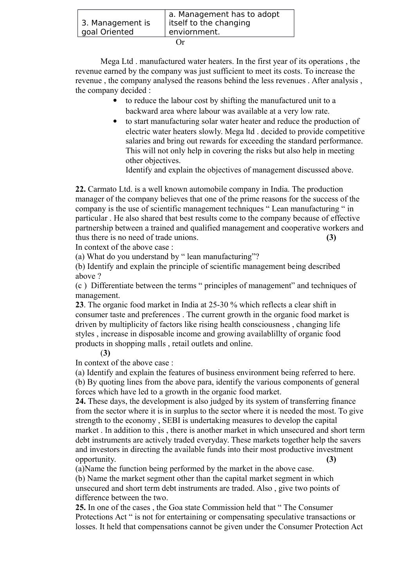| 3. Management is | a. Management has to adopt<br>  itself to the changing |  |
|------------------|--------------------------------------------------------|--|
| goal Oriented    | enviornment.                                           |  |
| ( )r             |                                                        |  |

Mega Ltd . manufactured water heaters. In the first year of its operations , the revenue earned by the company was just sufficient to meet its costs. To increase the revenue , the company analysed the reasons behind the less revenues . After analysis , the company decided :

- to reduce the labour cost by shifting the manufactured unit to a backward area where labour was available at a very low rate.
- to start manufacturing solar water heater and reduce the production of electric water heaters slowly. Mega ltd . decided to provide competitive salaries and bring out rewards for exceeding the standard performance. This will not only help in covering the risks but also help in meeting other objectives.

Identify and explain the objectives of management discussed above.

**22.** Carmato Ltd. is a well known automobile company in India. The production manager of the company believes that one of the prime reasons for the success of the company is the use of scientific management techniques " Lean manufacturing " in particular . He also shared that best results come to the company because of effective partnership between a trained and qualified management and cooperative workers and thus there is no need of trade unions. **(3)**

In context of the above case :

(a) What do you understand by " lean manufacturing"?

(b) Identify and explain the principle of scientific management being described above ?

(c ) Differentiate between the terms " principles of management" and techniques of management.

**23**. The organic food market in India at 25-30 % which reflects a clear shift in consumer taste and preferences . The current growth in the organic food market is driven by multiplicity of factors like rising health consciousness , changing life styles , increase in disposable income and growing availablillty of organic food products in shopping malls , retail outlets and online.

## (**3)**

In context of the above case :

(a) Identify and explain the features of business environment being referred to here. (b) By quoting lines from the above para, identify the various components of general forces which have led to a growth in the organic food market.

**24.** These days, the development is also judged by its system of transferring finance from the sector where it is in surplus to the sector where it is needed the most. To give strength to the economy , SEBI is undertaking measures to develop the capital market . In addition to this , there is another market in which unsecured and short term debt instruments are actively traded everyday. These markets together help the savers and investors in directing the available funds into their most productive investment opportunity. **(3)**

(a)Name the function being performed by the market in the above case.

(b) Name the market segment other than the capital market segment in which unsecured and short term debt instruments are traded. Also , give two points of difference between the two.

**25.** In one of the cases , the Goa state Commission held that " The Consumer Protections Act " is not for entertaining or compensating speculative transactions or losses. It held that compensations cannot be given under the Consumer Protection Act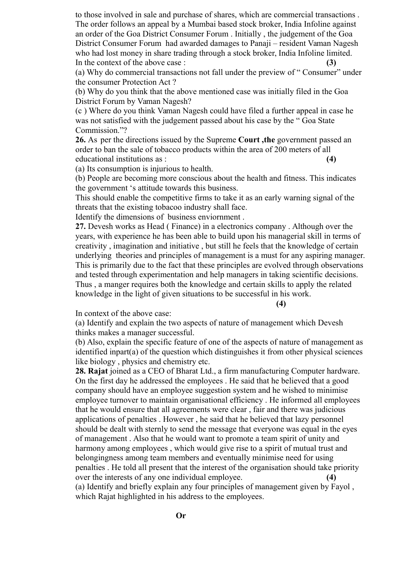to those involved in sale and purchase of shares, which are commercial transactions . The order follows an appeal by a Mumbai based stock broker, India Infoline against an order of the Goa District Consumer Forum . Initially , the judgement of the Goa District Consumer Forum had awarded damages to Panaji – resident Vaman Nagesh who had lost money in share trading through a stock broker, India Infoline limited. In the context of the above case : **(3)**

(a) Why do commercial transactions not fall under the preview of " Consumer" under the consumer Protection Act ?

(b) Why do you think that the above mentioned case was initially filed in the Goa District Forum by Vaman Nagesh?

(c ) Where do you think Vaman Nagesh could have filed a further appeal in case he was not satisfied with the judgement passed about his case by the " Goa State Commission."?

**26.** As per the directions issued by the Supreme **Court ,the** government passed an order to ban the sale of tobacco products within the area of 200 meters of all educational institutions as : **(4)**

(a) Its consumption is injurious to health.

(b) People are becoming more conscious about the health and fitness. This indicates the government 's attitude towards this business.

This should enable the competitive firms to take it as an early warning signal of the threats that the existing tobacoo industry shall face.

Identify the dimensions of business enviornment .

**27.** Devesh works as Head ( Finance) in a electronics company . Although over the years, with experience he has been able to build upon his managerial skill in terms of creativity , imagination and initiative , but still he feels that the knowledge of certain underlying theories and principles of management is a must for any aspiring manager. This is primarily due to the fact that these principles are evolved through observations and tested through experimentation and help managers in taking scientific decisions. Thus , a manger requires both the knowledge and certain skills to apply the related knowledge in the light of given situations to be successful in his work.

**(4)**

In context of the above case:

(a) Identify and explain the two aspects of nature of management which Devesh thinks makes a manager successful.

(b) Also, explain the specific feature of one of the aspects of nature of management as identified inpart(a) of the question which distinguishes it from other physical sciences like biology , physics and chemistry etc.

**28. Rajat** joined as a CEO of Bharat Ltd., a firm manufacturing Computer hardware. On the first day he addressed the employees . He said that he believed that a good company should have an employee suggestion system and he wished to minimise employee turnover to maintain organisational efficiency . He informed all employees that he would ensure that all agreements were clear , fair and there was judicious applications of penalties . However , he said that he believed that lazy personnel should be dealt with sternly to send the message that everyone was equal in the eyes of management . Also that he would want to promote a team spirit of unity and harmony among employees , which would give rise to a spirit of mutual trust and belongingness among team members and eventually minimise need for using penalties . He told all present that the interest of the organisation should take priority over the interests of any one individual employee. **(4)**

(a) Identify and briefly explain any four principles of management given by Fayol , which Rajat highlighted in his address to the employees.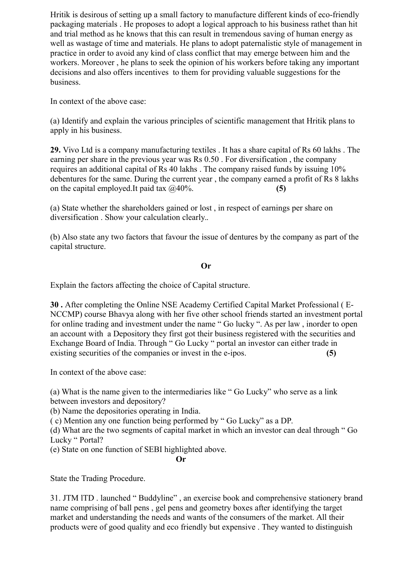Hritik is desirous of setting up a small factory to manufacture different kinds of eco-friendly packaging materials . He proposes to adopt a logical approach to his business rathet than hit and trial method as he knows that this can result in tremendous saving of human energy as well as wastage of time and materials. He plans to adopt paternalistic style of management in practice in order to avoid any kind of class conflict that may emerge between him and the workers. Moreover , he plans to seek the opinion of his workers before taking any important decisions and also offers incentives to them for providing valuable suggestions for the business.

In context of the above case:

(a) Identify and explain the various principles of scientific management that Hritik plans to apply in his business.

**29.** Vivo Ltd is a company manufacturing textiles . It has a share capital of Rs 60 lakhs . The earning per share in the previous year was Rs 0.50 . For diversification , the company requires an additional capital of Rs 40 lakhs . The company raised funds by issuing 10% debentures for the same. During the current year , the company earned a profit of Rs 8 lakhs on the capital employed.It paid tax @40%. **(5)**

(a) State whether the shareholders gained or lost , in respect of earnings per share on diversification . Show your calculation clearly..

(b) Also state any two factors that favour the issue of dentures by the company as part of the capital structure.

## **Or**

Explain the factors affecting the choice of Capital structure.

**30 .** After completing the Online NSE Academy Certified Capital Market Professional ( E-NCCMP) course Bhavya along with her five other school friends started an investment portal for online trading and investment under the name " Go lucky ". As per law , inorder to open an account with a Depository they first got their business registered with the securities and Exchange Board of India. Through " Go Lucky " portal an investor can either trade in existing securities of the companies or invest in the e-ipos. **(5)**

In context of the above case:

(a) What is the name given to the intermediaries like " Go Lucky" who serve as a link between investors and depository?

(b) Name the depositories operating in India.

( c) Mention any one function being performed by " Go Lucky" as a DP.

(d) What are the two segments of capital market in which an investor can deal through " Go Lucky " Portal?

(e) State on one function of SEBI highlighted above.

**Or**

State the Trading Procedure.

31. JTM lTD . launched " Buddyline" , an exercise book and comprehensive stationery brand name comprising of ball pens , gel pens and geometry boxes after identifying the target market and understanding the needs and wants of the consumers of the market. All their products were of good quality and eco friendly but expensive . They wanted to distinguish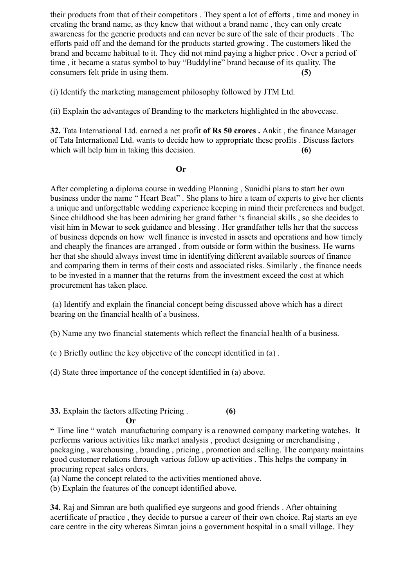their products from that of their competitors . They spent a lot of efforts , time and money in creating the brand name, as they knew that without a brand name , they can only create awareness for the generic products and can never be sure of the sale of their products . The efforts paid off and the demand for the products started growing . The customers liked the brand and became habitual to it. They did not mind paying a higher price . Over a period of time , it became a status symbol to buy "Buddyline" brand because of its quality. The consumers felt pride in using them. **(5)**

(i) Identify the marketing management philosophy followed by JTM Ltd.

(ii) Explain the advantages of Branding to the marketers highlighted in the abovecase.

**32.** Tata International Ltd. earned a net profit **of Rs 50 crores .** Ankit , the finance Manager of Tata International Ltd. wants to decide how to appropriate these profits . Discuss factors which will help him in taking this decision. **(6)** 

## **Or**

After completing a diploma course in wedding Planning , Sunidhi plans to start her own business under the name " Heart Beat" . She plans to hire a team of experts to give her clients a unique and unforgettable wedding experience keeping in mind their preferences and budget. Since childhood she has been admiring her grand father 's financial skills , so she decides to visit him in Mewar to seek guidance and blessing . Her grandfather tells her that the success of business depends on how well finance is invested in assets and operations and how timely and cheaply the finances are arranged , from outside or form within the business. He warns her that she should always invest time in identifying different available sources of finance and comparing them in terms of their costs and associated risks. Similarly , the finance needs to be invested in a manner that the returns from the investment exceed the cost at which procurement has taken place.

 (a) Identify and explain the financial concept being discussed above which has a direct bearing on the financial health of a business.

(b) Name any two financial statements which reflect the financial health of a business.

(c ) Briefly outline the key objective of the concept identified in (a) .

(d) State three importance of the concept identified in (a) above.

#### **33.** Explain the factors affecting Pricing . **(6) Or**

**"** Time line " watch manufacturing company is a renowned company marketing watches. It performs various activities like market analysis , product designing or merchandising , packaging , warehousing , branding , pricing , promotion and selling. The company maintains good customer relations through various follow up activities . This helps the company in procuring repeat sales orders.

(a) Name the concept related to the activities mentioned above.

(b) Explain the features of the concept identified above.

**34.** Raj and Simran are both qualified eye surgeons and good friends . After obtaining acertificate of practice , they decide to pursue a career of their own choice. Raj starts an eye care centre in the city whereas Simran joins a government hospital in a small village. They